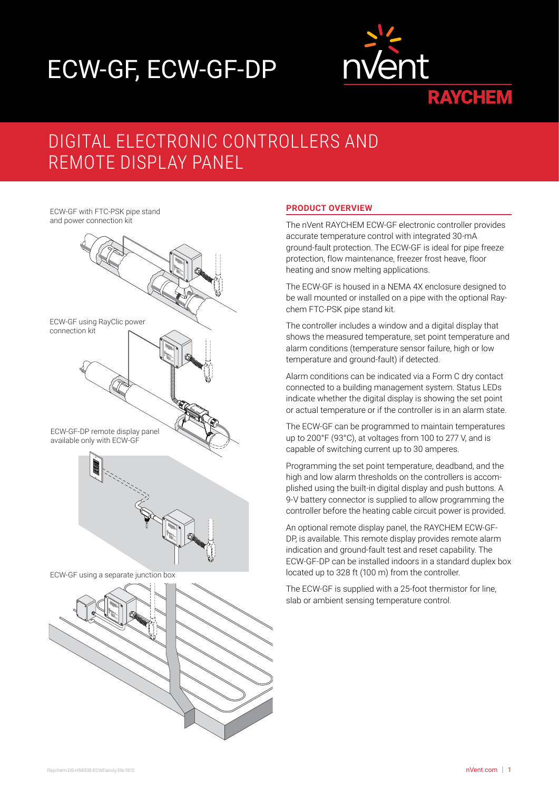# ECW-GF, ECW-GF-DP



## DIGITAL ELECTRONIC CONTROLLERS AND REMOTE DISPLAY PANEL

ECW-GF with FTC-PSK pipe stand and power connection kit



#### **PRODUCT OVERVIEW**

The nVent RAYCHEM ECW-GF electronic controller provides accurate temperature control with integrated 30-mA ground-fault protection. The ECW-GF is ideal for pipe freeze protection, flow maintenance, freezer frost heave, floor heating and snow melting applications.

The ECW-GF is housed in a NEMA 4X enclosure designed to be wall mounted or installed on a pipe with the optional Raychem FTC-PSK pipe stand kit.

The controller includes a window and a digital display that shows the measured temperature, set point temperature and alarm conditions (temperature sensor failure, high or low temperature and ground-fault) if detected.

Alarm conditions can be indicated via a Form C dry contact connected to a building management system. Status LEDs indicate whether the digital display is showing the set point or actual temperature or if the controller is in an alarm state.

The ECW-GF can be programmed to maintain temperatures up to 200°F (93°C), at voltages from 100 to 277 V, and is capable of switching current up to 30 amperes.

Programming the set point temperature, deadband, and the high and low alarm thresholds on the controllers is accomplished using the built-in digital display and push buttons. A 9-V battery connector is supplied to allow programming the controller before the heating cable circuit power is provided.

An optional remote display panel, the RAYCHEM ECW-GF-DP, is available. This remote display provides remote alarm indication and ground-fault test and reset capability. The ECW-GF-DP can be installed indoors in a standard duplex box located up to 328 ft (100 m) from the controller.

The ECW-GF is supplied with a 25-foot thermistor for line, slab or ambient sensing temperature control.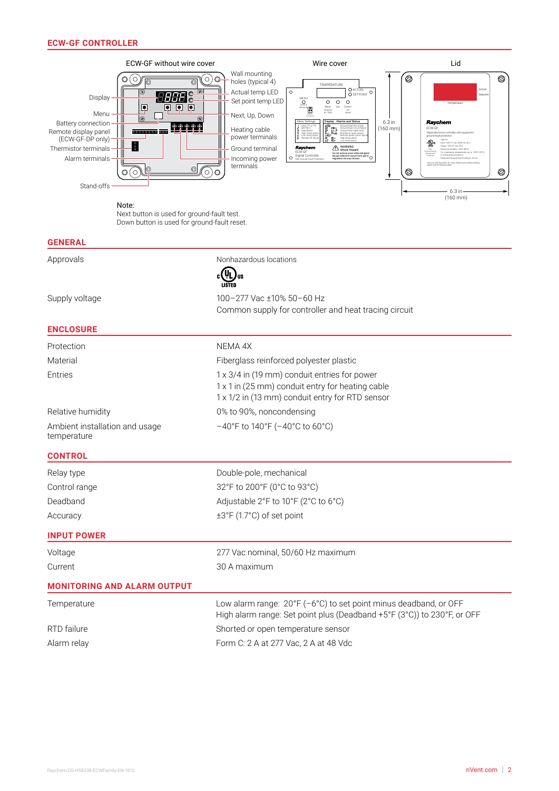

#### **GENERAL**

| Approvals                                     | Nonhazardous locations                                                                                                                              |  |  |
|-----------------------------------------------|-----------------------------------------------------------------------------------------------------------------------------------------------------|--|--|
|                                               | $_{c}$ (VL)<br>'us                                                                                                                                  |  |  |
| Supply voltage                                | 100-277 Vac ±10% 50-60 Hz<br>Common supply for controller and heat tracing circuit                                                                  |  |  |
| <b>ENCLOSURE</b>                              |                                                                                                                                                     |  |  |
| Protection                                    | NEMA 4X                                                                                                                                             |  |  |
| Material                                      | Fiberglass reinforced polyester plastic                                                                                                             |  |  |
| Entries                                       | 1 x 3/4 in (19 mm) conduit entries for power<br>1 x 1 in (25 mm) conduit entry for heating cable<br>1 x 1/2 in (13 mm) conduit entry for RTD sensor |  |  |
| Relative humidity                             | 0% to 90%, noncondensing                                                                                                                            |  |  |
| Ambient installation and usage<br>temperature | $-40^{\circ}$ F to 140°F ( $-40^{\circ}$ C to 60°C)                                                                                                 |  |  |
| <b>CONTROL</b>                                |                                                                                                                                                     |  |  |
| Relay type                                    | Double-pole, mechanical                                                                                                                             |  |  |
| Control range                                 | 32°F to 200°F (0°C to 93°C)                                                                                                                         |  |  |
| Deadband                                      | Adjustable 2°F to 10°F (2°C to 6°C)                                                                                                                 |  |  |
| Accuracy                                      | ±3°F (1.7°C) of set point                                                                                                                           |  |  |
| <b>INPUT POWER</b>                            |                                                                                                                                                     |  |  |
| Voltage                                       | 277 Vac nominal, 50/60 Hz maximum                                                                                                                   |  |  |
| Current                                       | 30 A maximum                                                                                                                                        |  |  |
| <b>MONITORING AND ALARM OUTPUT</b>            |                                                                                                                                                     |  |  |
| Temperature                                   | Low alarm range: 20°F (-6°C) to set point minus deadband, or OFF<br>High alarm range: Set point plus (Deadband +5°F (3°C)) to 230°F, or OFF         |  |  |
| RTD failure                                   | Shorted or open temperature sensor                                                                                                                  |  |  |
| Alarm relay                                   | Form C: 2 A at 277 Vac, 2 A at 48 Vdc                                                                                                               |  |  |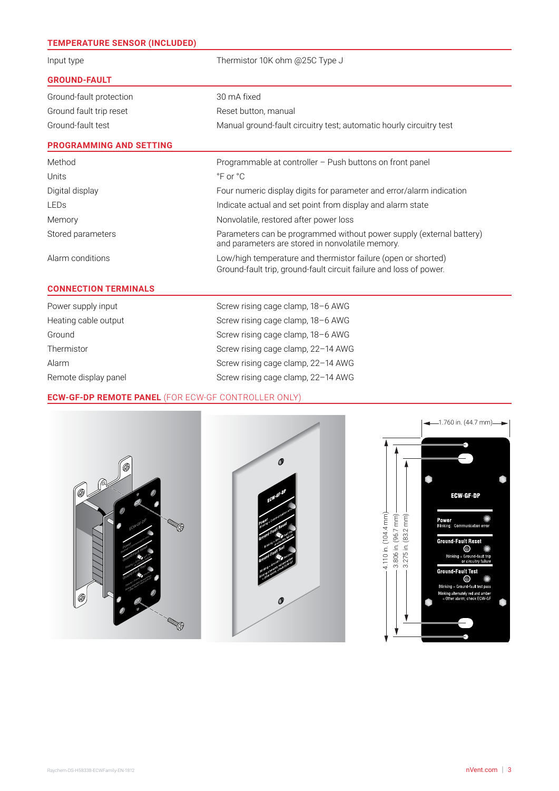| <b>TEMPERATURE SENSOR (INCLUDED)</b> |                                                                                                                                     |  |  |
|--------------------------------------|-------------------------------------------------------------------------------------------------------------------------------------|--|--|
| Input type                           | Thermistor 10K ohm @25C Type J                                                                                                      |  |  |
| <b>GROUND-FAULT</b>                  |                                                                                                                                     |  |  |
| Ground-fault protection              | 30 mA fixed                                                                                                                         |  |  |
| Ground fault trip reset              | Reset button, manual                                                                                                                |  |  |
| Ground-fault test                    | Manual ground-fault circuitry test; automatic hourly circuitry test                                                                 |  |  |
| <b>PROGRAMMING AND SETTING</b>       |                                                                                                                                     |  |  |
| Method                               | Programmable at controller - Push buttons on front panel                                                                            |  |  |
| Units                                | $\degree$ F or $\degree$ C                                                                                                          |  |  |
| Digital display                      | Four numeric display digits for parameter and error/alarm indication                                                                |  |  |
| LEDs                                 | Indicate actual and set point from display and alarm state                                                                          |  |  |
| Memory                               | Nonvolatile, restored after power loss                                                                                              |  |  |
| Stored parameters                    | Parameters can be programmed without power supply (external battery)<br>and parameters are stored in nonvolatile memory.            |  |  |
| Alarm conditions                     | Low/high temperature and thermistor failure (open or shorted)<br>Ground-fault trip, ground-fault circuit failure and loss of power. |  |  |
| <b>CONNECTION TERMINALS</b>          |                                                                                                                                     |  |  |
| Power supply input                   | Screw rising cage clamp, 18-6 AWG                                                                                                   |  |  |
| Heating cable output                 | Screw rising cage clamp, 18-6 AWG                                                                                                   |  |  |
| Ground                               | Screw rising cage clamp, 18-6 AWG                                                                                                   |  |  |
| Thermistor                           | Screw rising cage clamp, 22-14 AWG                                                                                                  |  |  |
| Alarm                                | Screw rising cage clamp, 22-14 AWG                                                                                                  |  |  |
| Remote display panel                 | Screw rising cage clamp, 22-14 AWG                                                                                                  |  |  |

#### **ECW-GF-DP REMOTE PANEL** (FOR ECW-GF CONTROLLER ONLY)